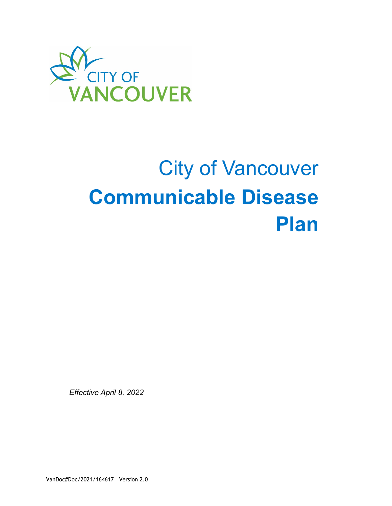

# City of Vancouver **Communicable Disease Plan**

*Effective April 8, 2022*

VanDoc#Doc/2021/164617 Version 2.0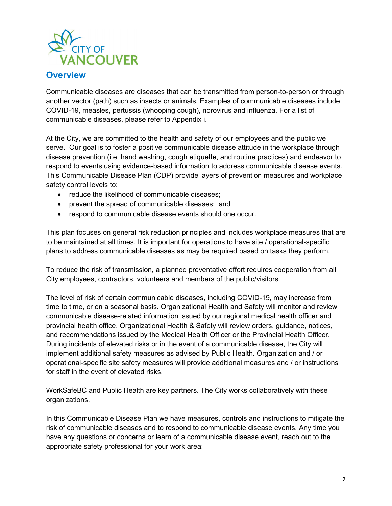

#### **Overview**

Communicable diseases are diseases that can be transmitted from person-to-person or through another vector (path) such as insects or animals. Examples of communicable diseases include COVID-19, measles, pertussis (whooping cough), norovirus and influenza. For a list of communicable diseases, please refer to Appendix i.

At the City, we are committed to the health and safety of our employees and the public we serve. Our goal is to foster a positive communicable disease attitude in the workplace through disease prevention (i.e. hand washing, cough etiquette, and routine practices) and endeavor to respond to events using evidence-based information to address communicable disease events. This Communicable Disease Plan (CDP) provide layers of prevention measures and workplace safety control levels to:

- reduce the likelihood of communicable diseases;
- prevent the spread of communicable diseases; and
- respond to communicable disease events should one occur.

This plan focuses on general risk reduction principles and includes workplace measures that are to be maintained at all times. It is important for operations to have site / operational-specific plans to address communicable diseases as may be required based on tasks they perform.

To reduce the risk of transmission, a planned preventative effort requires cooperation from all City employees, contractors, volunteers and members of the public/visitors.

The level of risk of certain communicable diseases, including COVID-19, may increase from time to time, or on a seasonal basis. Organizational Health and Safety will monitor and review communicable disease-related information issued by our regional medical health officer and provincial health office. Organizational Health & Safety will review orders, guidance, notices, and recommendations issued by the Medical Health Officer or the Provincial Health Officer. During incidents of elevated risks or in the event of a communicable disease, the City will implement additional safety measures as advised by Public Health. Organization and / or operational-specific site safety measures will provide additional measures and / or instructions for staff in the event of elevated risks.

WorkSafeBC and Public Health are key partners. The City works collaboratively with these organizations.

In this Communicable Disease Plan we have measures, controls and instructions to mitigate the risk of communicable diseases and to respond to communicable disease events. Any time you have any questions or concerns or learn of a communicable disease event, reach out to the appropriate safety professional for your work area: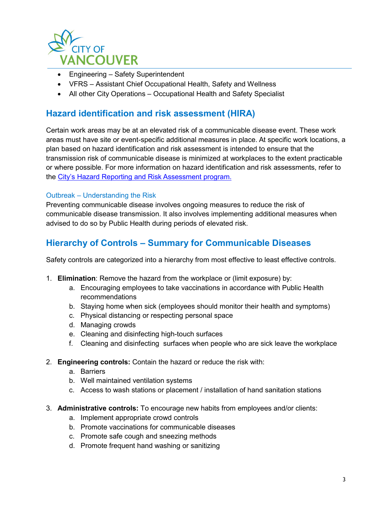

- Engineering Safety Superintendent
- VFRS Assistant Chief Occupational Health, Safety and Wellness
- All other City Operations Occupational Health and Safety Specialist

## **Hazard identification and risk assessment (HIRA)**

Certain work areas may be at an elevated risk of a communicable disease event. These work areas must have site or event-specific additional measures in place. At specific work locations, a plan based on hazard identification and risk assessment is intended to ensure that the transmission risk of communicable disease is minimized at workplaces to the extent practicable or where possible. For more information on hazard identification and risk assessments, refer to the [City's Hazard Reporting and Risk Assessment program.](https://currents.vancouver.ca/About/Teams/Human-Resources/SitePages/Risk-Assessment-and-Procedure.aspx?csf=1&e=loVY9a)

#### Outbreak – Understanding the Risk

Preventing communicable disease involves ongoing measures to reduce the risk of communicable disease transmission. It also involves implementing additional measures when advised to do so by Public Health during periods of elevated risk.

## **Hierarchy of Controls – Summary for Communicable Diseases**

Safety controls are categorized into a hierarchy from most effective to least effective controls.

- 1. **Elimination**: Remove the hazard from the workplace or (limit exposure) by:
	- a. Encouraging employees to take vaccinations in accordance with Public Health recommendations
	- b. Staying home when sick (employees should monitor their health and symptoms)
	- c. Physical distancing or respecting personal space
	- d. Managing crowds
	- e. Cleaning and disinfecting high-touch surfaces
	- f. Cleaning and disinfecting surfaces when people who are sick leave the workplace
- 2. **Engineering controls:** Contain the hazard or reduce the risk with:
	- a. Barriers
	- b. Well maintained ventilation systems
	- c. Access to wash stations or placement / installation of hand sanitation stations
- 3. **Administrative controls:** To encourage new habits from employees and/or clients:
	- a. Implement appropriate crowd controls
	- b. Promote vaccinations for communicable diseases
	- c. Promote safe cough and sneezing methods
	- d. Promote frequent hand washing or sanitizing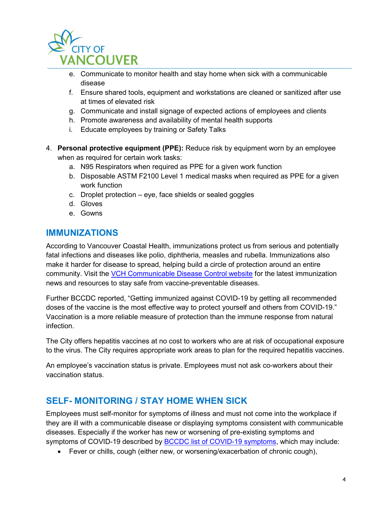

- e. Communicate to monitor health and stay home when sick with a communicable disease
- f. Ensure shared tools, equipment and workstations are cleaned or sanitized after use at times of elevated risk
- g. Communicate and install signage of expected actions of employees and clients
- h. Promote awareness and availability of mental health supports
- i. Educate employees by training or Safety Talks
- 4. **Personal protective equipment (PPE):** Reduce risk by equipment worn by an employee when as required for certain work tasks:
	- a. N95 Respirators when required as PPE for a given work function
	- b. Disposable ASTM F2100 Level 1 medical masks when required as PPE for a given work function
	- c. Droplet protection eye, face shields or sealed goggles
	- d. Gloves
	- e. Gowns

## **IMMUNIZATIONS**

According to Vancouver Coastal Health, immunizations protect us from serious and potentially fatal infections and diseases like polio, diphtheria, measles and rubella. Immunizations also make it harder for disease to spread, helping build a circle of protection around an entire community. Visit the [VCH Communicable Disease Control website](https://sneezesdiseases.com/get-immunized) for the latest immunization news and resources to stay safe from vaccine-preventable diseases.

Further BCCDC reported, "Getting immunized against COVID-19 by getting all recommended doses of the vaccine is the most effective way to protect yourself and others from COVID-19." Vaccination is a more reliable measure of protection than the immune response from natural infection.

The City offers hepatitis vaccines at no cost to workers who are at risk of occupational exposure to the virus. The City requires appropriate work areas to plan for the required hepatitis vaccines.

An employee's vaccination status is private. Employees must not ask co-workers about their vaccination status.

## **SELF- MONITORING / STAY HOME WHEN SICK**

Employees must self-monitor for symptoms of illness and must not come into the workplace if they are ill with a communicable disease or displaying symptoms consistent with communicable diseases. Especially if the worker has new or worsening of pre-existing symptoms and symptoms of COVID-19 described by **BCCDC** list of COVID-19 symptoms, which may include:

• Fever or chills, cough (either new, or worsening/exacerbation of chronic cough),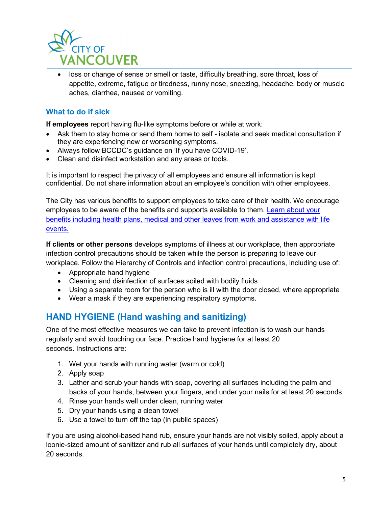

• loss or change of sense or smell or taste, difficulty breathing, sore throat, loss of appetite, extreme, fatigue or tiredness, runny nose, sneezing, headache, body or muscle aches, diarrhea, nausea or vomiting.

#### **What to do if sick**

**If employees** report having flu-like symptoms before or while at work:

- Ask them to stay home or send them home to self isolate and seek medical consultation if they are experiencing new or worsening symptoms.
- Always follow [BCCDC's guidance on 'If you have COVID-19'.](http://www.bccdc.ca/health-info/diseases-conditions/covid-19/if-you-have-covid-19)
- Clean and disinfect workstation and any areas or tools.

It is important to respect the privacy of all employees and ensure all information is kept confidential. Do not share information about an employee's condition with other employees.

The City has various benefits to support employees to take care of their health. We encourage employees to be aware of the benefits and supports available to them. [Learn about your](https://currents.vancouver.ca/About/Teams/Human-Resources/SitePages/compensation-and-benefits.aspx)  [benefits including health plans, medical and other leaves from work and assistance with life](https://currents.vancouver.ca/About/Teams/Human-Resources/SitePages/compensation-and-benefits.aspx)  [events.](https://currents.vancouver.ca/About/Teams/Human-Resources/SitePages/compensation-and-benefits.aspx)

**If clients or other persons** develops symptoms of illness at our workplace, then appropriate infection control precautions should be taken while the person is preparing to leave our workplace. Follow the Hierarchy of Controls and infection control precautions, including use of:

- Appropriate hand hygiene
- Cleaning and disinfection of surfaces soiled with bodily fluids
- Using a separate room for the person who is ill with the door closed, where appropriate
- Wear a mask if they are experiencing respiratory symptoms.

## **HAND HYGIENE (Hand washing and sanitizing)**

One of the most effective measures we can take to prevent infection is to wash our hands regularly and avoid touching our face. Practice hand hygiene for at least 20 seconds. Instructions are:

- 1. Wet your hands with running water (warm or cold)
- 2. Apply soap
- 3. Lather and scrub your hands with soap, covering all surfaces including the palm and backs of your hands, between your fingers, and under your nails for at least 20 seconds
- 4. Rinse your hands well under clean, running water
- 5. Dry your hands using a clean towel
- 6. Use a towel to turn off the tap (in public spaces)

If you are using alcohol-based hand rub, ensure your hands are not visibly soiled, apply about a loonie-sized amount of sanitizer and rub all surfaces of your hands until completely dry, about 20 seconds.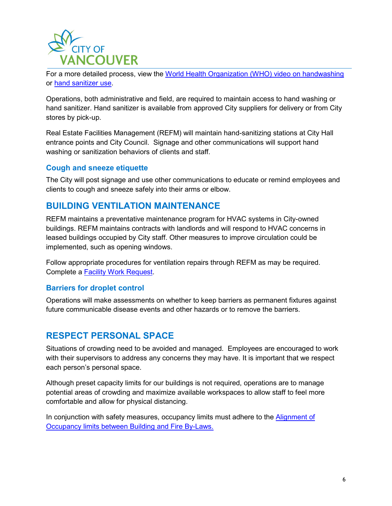

For a more detailed process, view the [World Health Organization \(WHO\) video on handwashing](https://www.youtube.com/watch?v=IisgnbMfKvI) or [hand sanitizer use.](https://www.youtube.com/watch?v=B3eq5fLzAOo)

Operations, both administrative and field, are required to maintain access to hand washing or hand sanitizer. Hand sanitizer is available from approved City suppliers for delivery or from City stores by pick-up.

Real Estate Facilities Management (REFM) will maintain hand-sanitizing stations at City Hall entrance points and City Council. Signage and other communications will support hand washing or sanitization behaviors of clients and staff.

#### **Cough and sneeze etiquette**

The City will post signage and use other communications to educate or remind employees and clients to cough and sneeze safely into their arms or elbow.

## **BUILDING VENTILATION MAINTENANCE**

REFM maintains a preventative maintenance program for HVAC systems in City-owned buildings. REFM maintains contracts with landlords and will respond to HVAC concerns in leased buildings occupied by City staff. Other measures to improve circulation could be implemented, such as opening windows.

Follow appropriate procedures for ventilation repairs through REFM as may be required. Complete a [Facility Work Request.](http://staffapp.city.vancouver.bc.ca/sappmwrkrq_net/)

#### **Barriers for droplet control**

Operations will make assessments on whether to keep barriers as permanent fixtures against future communicable disease events and other hazards or to remove the barriers.

## **RESPECT PERSONAL SPACE**

Situations of crowding need to be avoided and managed. Employees are encouraged to work with their supervisors to address any concerns they may have. It is important that we respect each person's personal space.

Although preset capacity limits for our buildings is not required, operations are to manage potential areas of crowding and maximize available workspaces to allow staff to feel more comfortable and allow for physical distancing.

In conjunction with safety measures, occupancy limits must adhere to the **Alignment of** [Occupancy limits between Building and Fire By-Laws.](https://council.vancouver.ca/20200707/documents/r5.pdf)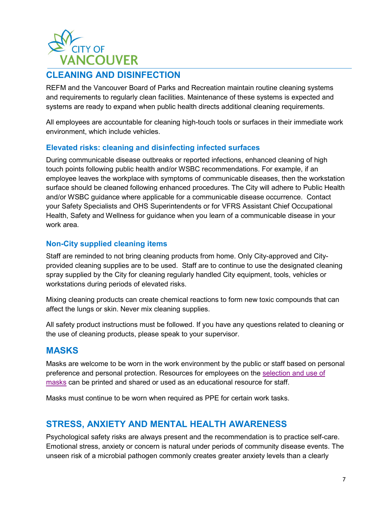

# **CLEANING AND DISINFECTION**

REFM and the Vancouver Board of Parks and Recreation maintain routine cleaning systems and requirements to regularly clean facilities. Maintenance of these systems is expected and systems are ready to expand when public health directs additional cleaning requirements.

All employees are accountable for cleaning high-touch tools or surfaces in their immediate work environment, which include vehicles.

#### **Elevated risks: cleaning and disinfecting infected surfaces**

During communicable disease outbreaks or reported infections, enhanced cleaning of high touch points following public health and/or WSBC recommendations. For example, if an employee leaves the workplace with symptoms of communicable diseases, then the workstation surface should be cleaned following enhanced procedures. The City will adhere to Public Health and/or WSBC guidance where applicable for a communicable disease occurrence. Contact your Safety Specialists and OHS Superintendents or for VFRS Assistant Chief Occupational Health, Safety and Wellness for guidance when you learn of a communicable disease in your work area

#### **Non-City supplied cleaning items**

Staff are reminded to not bring cleaning products from home. Only City-approved and Cityprovided cleaning supplies are to be used. Staff are to continue to use the designated cleaning spray supplied by the City for cleaning regularly handled City equipment, tools, vehicles or workstations during periods of elevated risks.

Mixing cleaning products can create chemical reactions to form new toxic compounds that can affect the lungs or skin. Never mix cleaning supplies.

All safety product instructions must be followed. If you have any questions related to cleaning or the use of cleaning products, please speak to your supervisor.

## **MASKS**

Masks are welcome to be worn in the work environment by the public or staff based on personal preference and personal protection. Resources for employees on the [selection and use of](https://currents.vancouver.ca/About/Teams/Human-Resources/Organizational-Health-Safety/covid-19-guidance-use-of-respirators-and-masks-at-the-city.pdf)  [masks](https://currents.vancouver.ca/About/Teams/Human-Resources/Organizational-Health-Safety/covid-19-guidance-use-of-respirators-and-masks-at-the-city.pdf) can be printed and shared or used as an educational resource for staff.

Masks must continue to be worn when required as PPE for certain work tasks.

# **STRESS, ANXIETY AND MENTAL HEALTH AWARENESS**

Psychological safety risks are always present and the recommendation is to practice self-care. Emotional stress, anxiety or concern is natural under periods of community disease events. The unseen risk of a microbial pathogen commonly creates greater anxiety levels than a clearly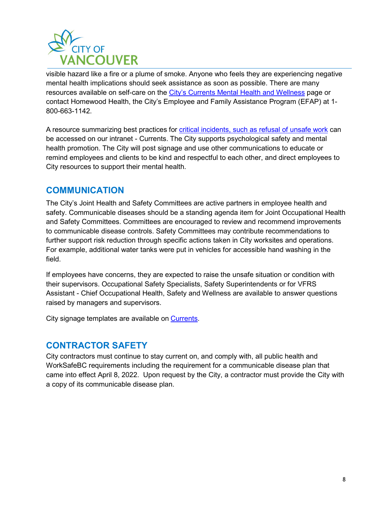

visible hazard like a fire or a plume of smoke. Anyone who feels they are experiencing negative mental health implications should seek assistance as soon as possible. There are many resources available on self-care on the [City's Currents Mental Health and Wellness](https://currents.vancouver.ca/About/Teams/Human-Resources/SitePages/mental-health-and-well-being-resources.aspx) page or contact Homewood Health, the City's Employee and Family Assistance Program (EFAP) at 1- 800-663-1142.

A resource summarizing best practices for critical incidents, [such as refusal of unsafe work](https://currents.vancouver.ca/About/Teams/Human-Resources/SitePages/leadership-and-critical-incident.aspx) can be accessed on our intranet - Currents. The City supports psychological safety and mental health promotion. The City will post signage and use other communications to educate or remind employees and clients to be kind and respectful to each other, and direct employees to City resources to support their mental health.

## **COMMUNICATION**

The City's Joint Health and Safety Committees are active partners in employee health and safety. Communicable diseases should be a standing agenda item for Joint Occupational Health and Safety Committees. Committees are encouraged to review and recommend improvements to communicable disease controls. Safety Committees may contribute recommendations to further support risk reduction through specific actions taken in City worksites and operations. For example, additional water tanks were put in vehicles for accessible hand washing in the field.

If employees have concerns, they are expected to raise the unsafe situation or condition with their supervisors. Occupational Safety Specialists, Safety Superintendents or for VFRS Assistant - Chief Occupational Health, Safety and Wellness are available to answer questions raised by managers and supervisors.

City signage templates are available on [Currents](https://currents.vancouver.ca/About/Teams/Human-Resources/SitePages/covid-19-workplace-signage.aspx?web=1).

## **CONTRACTOR SAFETY**

City contractors must continue to stay current on, and comply with, all public health and WorkSafeBC requirements including the requirement for a communicable disease plan that came into effect April 8, 2022. Upon request by the City, a contractor must provide the City with a copy of its communicable disease plan.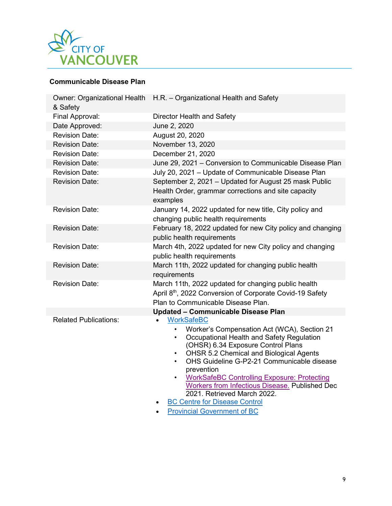

#### **Communicable Disease Plan**

| & Safety                     | Owner: Organizational Health H.R. - Organizational Health and Safety                                                                                                                                                                                                                                                                                                                                                                                                                                                     |
|------------------------------|--------------------------------------------------------------------------------------------------------------------------------------------------------------------------------------------------------------------------------------------------------------------------------------------------------------------------------------------------------------------------------------------------------------------------------------------------------------------------------------------------------------------------|
| Final Approval:              | Director Health and Safety                                                                                                                                                                                                                                                                                                                                                                                                                                                                                               |
| Date Approved:               | June 2, 2020                                                                                                                                                                                                                                                                                                                                                                                                                                                                                                             |
| <b>Revision Date:</b>        | August 20, 2020                                                                                                                                                                                                                                                                                                                                                                                                                                                                                                          |
| <b>Revision Date:</b>        | November 13, 2020                                                                                                                                                                                                                                                                                                                                                                                                                                                                                                        |
| <b>Revision Date:</b>        | December 21, 2020                                                                                                                                                                                                                                                                                                                                                                                                                                                                                                        |
| <b>Revision Date:</b>        | June 29, 2021 - Conversion to Communicable Disease Plan                                                                                                                                                                                                                                                                                                                                                                                                                                                                  |
| <b>Revision Date:</b>        | July 20, 2021 - Update of Communicable Disease Plan                                                                                                                                                                                                                                                                                                                                                                                                                                                                      |
| <b>Revision Date:</b>        | September 2, 2021 - Updated for August 25 mask Public<br>Health Order, grammar corrections and site capacity<br>examples                                                                                                                                                                                                                                                                                                                                                                                                 |
| <b>Revision Date:</b>        | January 14, 2022 updated for new title, City policy and<br>changing public health requirements                                                                                                                                                                                                                                                                                                                                                                                                                           |
| <b>Revision Date:</b>        | February 18, 2022 updated for new City policy and changing<br>public health requirements                                                                                                                                                                                                                                                                                                                                                                                                                                 |
| <b>Revision Date:</b>        | March 4th, 2022 updated for new City policy and changing<br>public health requirements                                                                                                                                                                                                                                                                                                                                                                                                                                   |
| <b>Revision Date:</b>        | March 11th, 2022 updated for changing public health<br>requirements                                                                                                                                                                                                                                                                                                                                                                                                                                                      |
| <b>Revision Date:</b>        | March 11th, 2022 updated for changing public health<br>April 8th, 2022 Conversion of Corporate Covid-19 Safety<br>Plan to Communicable Disease Plan.                                                                                                                                                                                                                                                                                                                                                                     |
|                              | <b>Updated - Communicable Disease Plan</b>                                                                                                                                                                                                                                                                                                                                                                                                                                                                               |
| <b>Related Publications:</b> | <b>WorkSafeBC</b><br>Worker's Compensation Act (WCA), Section 21<br>$\bullet$<br>Occupational Health and Safety Regulation<br>$\bullet$<br>(OHSR) 6.34 Exposure Control Plans<br><b>OHSR 5.2 Chemical and Biological Agents</b><br>$\bullet$<br>OHS Guideline G-P2-21 Communicable disease<br>$\bullet$<br>prevention<br><b>WorkSafeBC Controlling Exposure: Protecting</b><br>$\bullet$<br><b>Workers from Infectious Disease. Published Dec</b><br>2021. Retrieved March 2022.<br><b>BC Centre for Disease Control</b> |
|                              | <b>Provincial Government of BC</b>                                                                                                                                                                                                                                                                                                                                                                                                                                                                                       |